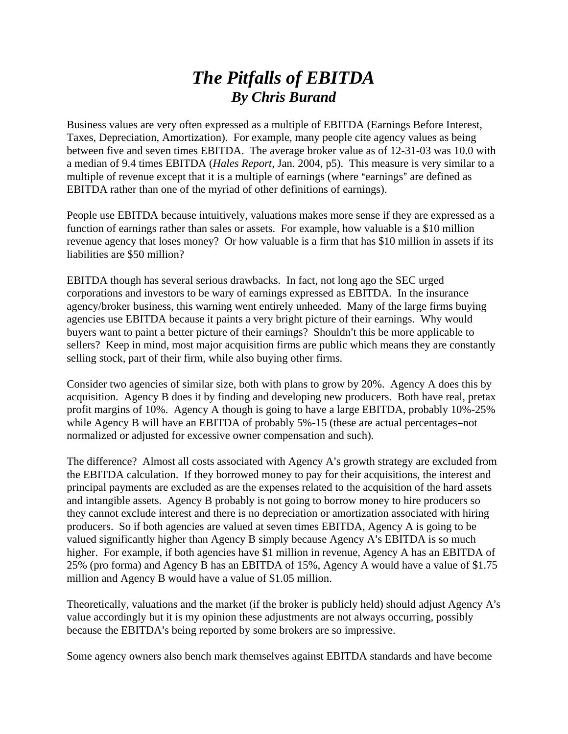## *The Pitfalls of EBITDA By Chris Burand*

Business values are very often expressed as a multiple of EBITDA (Earnings Before Interest, Taxes, Depreciation, Amortization). For example, many people cite agency values as being between five and seven times EBITDA. The average broker value as of 12-31-03 was 10.0 with a median of 9.4 times EBITDA (*Hales Report*, Jan. 2004, p5). This measure is very similar to a multiple of revenue except that it is a multiple of earnings (where "earnings" are defined as EBITDA rather than one of the myriad of other definitions of earnings).

People use EBITDA because intuitively, valuations makes more sense if they are expressed as a function of earnings rather than sales or assets. For example, how valuable is a \$10 million revenue agency that loses money? Or how valuable is a firm that has \$10 million in assets if its liabilities are \$50 million?

EBITDA though has several serious drawbacks. In fact, not long ago the SEC urged corporations and investors to be wary of earnings expressed as EBITDA. In the insurance agency/broker business, this warning went entirely unheeded. Many of the large firms buying agencies use EBITDA because it paints a very bright picture of their earnings. Why would buyers want to paint a better picture of their earnings? Shouldn't this be more applicable to sellers? Keep in mind, most major acquisition firms are public which means they are constantly selling stock, part of their firm, while also buying other firms.

Consider two agencies of similar size, both with plans to grow by 20%. Agency A does this by acquisition. Agency B does it by finding and developing new producers. Both have real, pretax profit margins of 10%. Agency A though is going to have a large EBITDA, probably 10%-25% while Agency B will have an EBITDA of probably  $5\% -15$  (these are actual percentages-not normalized or adjusted for excessive owner compensation and such).

The difference? Almost all costs associated with Agency A's growth strategy are excluded from the EBITDA calculation. If they borrowed money to pay for their acquisitions, the interest and principal payments are excluded as are the expenses related to the acquisition of the hard assets and intangible assets. Agency B probably is not going to borrow money to hire producers so they cannot exclude interest and there is no depreciation or amortization associated with hiring producers. So if both agencies are valued at seven times EBITDA, Agency A is going to be valued significantly higher than Agency B simply because Agency A's EBITDA is so much higher. For example, if both agencies have \$1 million in revenue, Agency A has an EBITDA of 25% (pro forma) and Agency B has an EBITDA of 15%, Agency A would have a value of \$1.75 million and Agency B would have a value of \$1.05 million.

Theoretically, valuations and the market (if the broker is publicly held) should adjust Agency A's value accordingly but it is my opinion these adjustments are not always occurring, possibly because the EBITDA's being reported by some brokers are so impressive.

Some agency owners also bench mark themselves against EBITDA standards and have become